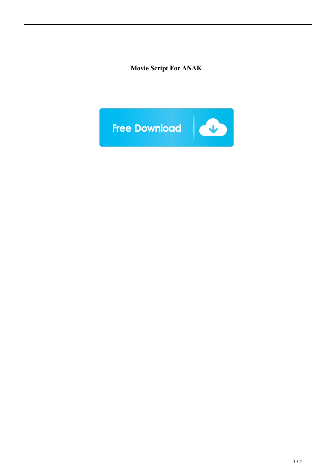**Movie Script For ANAK**